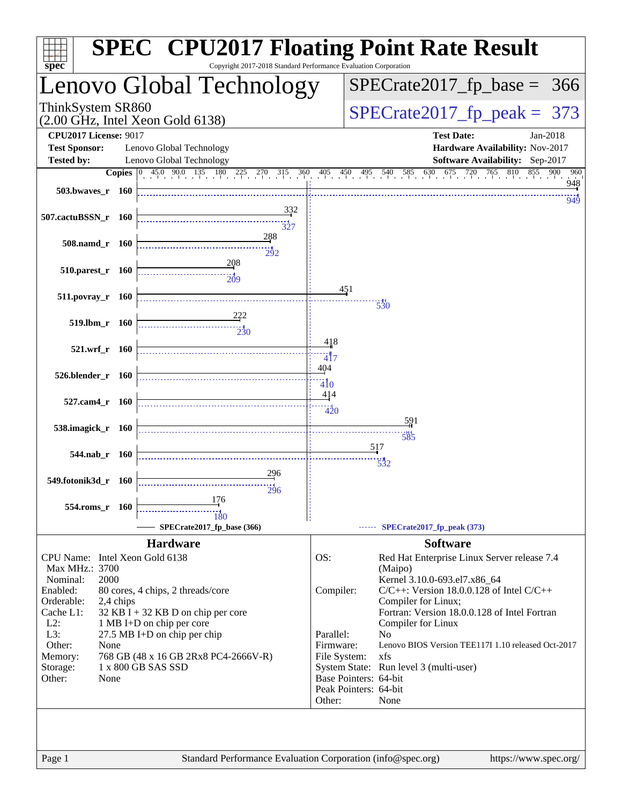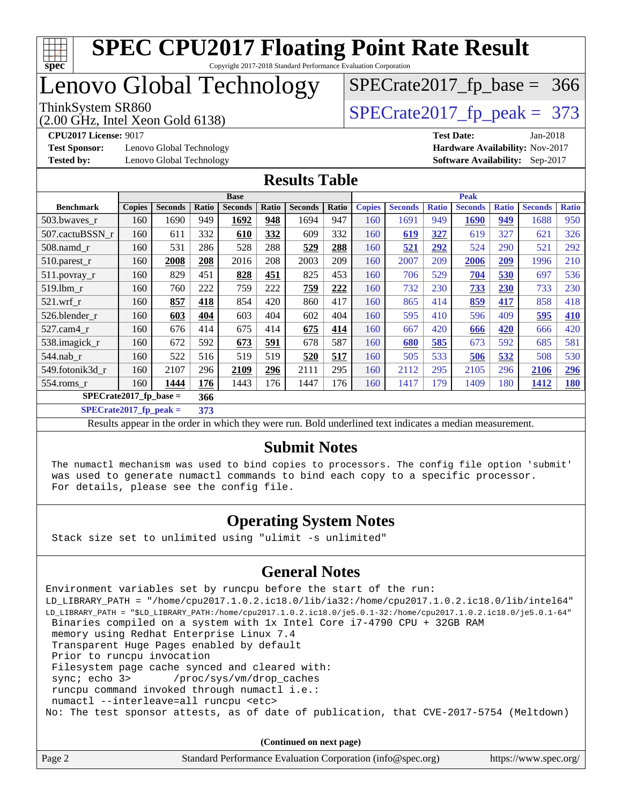

## Lenovo Global Technology

(2.00 GHz, Intel Xeon Gold 6138)

ThinkSystem SR860<br>(2.00 GHz, Intel Xeon Gold 6138) [SPECrate2017\\_fp\\_peak =](http://www.spec.org/auto/cpu2017/Docs/result-fields.html#SPECrate2017fppeak) 373

[SPECrate2017\\_fp\\_base =](http://www.spec.org/auto/cpu2017/Docs/result-fields.html#SPECrate2017fpbase) 366

**[Test Sponsor:](http://www.spec.org/auto/cpu2017/Docs/result-fields.html#TestSponsor)** Lenovo Global Technology **[Hardware Availability:](http://www.spec.org/auto/cpu2017/Docs/result-fields.html#HardwareAvailability)** Nov-2017 **[Tested by:](http://www.spec.org/auto/cpu2017/Docs/result-fields.html#Testedby)** Lenovo Global Technology **[Software Availability:](http://www.spec.org/auto/cpu2017/Docs/result-fields.html#SoftwareAvailability)** Sep-2017

**[CPU2017 License:](http://www.spec.org/auto/cpu2017/Docs/result-fields.html#CPU2017License)** 9017 **[Test Date:](http://www.spec.org/auto/cpu2017/Docs/result-fields.html#TestDate)** Jan-2018

### **[Results Table](http://www.spec.org/auto/cpu2017/Docs/result-fields.html#ResultsTable)**

|                           | <b>Base</b>   |                |       |                |       |                |       |               | <b>Peak</b>    |              |                |              |                |              |
|---------------------------|---------------|----------------|-------|----------------|-------|----------------|-------|---------------|----------------|--------------|----------------|--------------|----------------|--------------|
| <b>Benchmark</b>          | <b>Copies</b> | <b>Seconds</b> | Ratio | <b>Seconds</b> | Ratio | <b>Seconds</b> | Ratio | <b>Copies</b> | <b>Seconds</b> | <b>Ratio</b> | <b>Seconds</b> | <b>Ratio</b> | <b>Seconds</b> | <b>Ratio</b> |
| 503.bwaves_r              | 160           | 1690           | 949   | 1692           | 948   | 1694           | 947   | 160           | 1691           | 949          | 1690           | 949          | 1688           | 950          |
| 507.cactuBSSN r           | 160           | 611            | 332   | 610            | 332   | 609            | 332   | 160           | 619            | 327          | 619            | 327          | 621            | 326          |
| $508$ .namd $r$           | 160           | 531            | 286   | 528            | 288   | 529            | 288   | 160           | 521            | 292          | 524            | 290          | 521            | 292          |
| 510.parest_r              | 160           | 2008           | 208   | 2016           | 208   | 2003           | 209   | 160           | 2007           | 209          | 2006           | 209          | 1996           | 210          |
| 511.povray_r              | 160           | 829            | 451   | 828            | 451   | 825            | 453   | 160           | 706            | 529          | 704            | 530          | 697            | 536          |
| 519.1bm r                 | 160           | 760            | 222   | 759            | 222   | 759            | 222   | 160           | 732            | 230          | 733            | 230          | 733            | 230          |
| $521$ .wrf r              | 160           | 857            | 418   | 854            | 420   | 860            | 417   | 160           | 865            | 414          | 859            | 417          | 858            | 418          |
| 526.blender r             | 160           | 603            | 404   | 603            | 404   | 602            | 404   | 160           | 595            | 410          | 596            | 409          | 595            | 410          |
| 527.cam4_r                | 160           | 676            | 414   | 675            | 414   | 675            | 414   | 160           | 667            | 420          | 666            | 420          | 666            | 420          |
| 538.imagick_r             | 160           | 672            | 592   | 673            | 591   | 678            | 587   | 160           | 680            | 585          | 673            | 592          | 685            | 581          |
| $544$ .nab r              | 160           | 522            | 516   | 519            | 519   | 520            | 517   | 160           | 505            | 533          | 506            | 532          | 508            | 530          |
| 549.fotonik3d_r           | 160           | 2107           | 296   | 2109           | 296   | 2111           | 295   | 160           | 2112           | 295          | 2105           | 296          | 2106           | 296          |
| $554$ .roms $r$           | 160           | 1444           | 176   | 1443           | 176   | 1447           | 176   | 160           | 1417           | 179          | 1409           | 180          | 1412           | <b>180</b>   |
| $SPECrate2017_fp\_base =$ |               |                | 366   |                |       |                |       |               |                |              |                |              |                |              |

**[SPECrate2017\\_fp\\_peak =](http://www.spec.org/auto/cpu2017/Docs/result-fields.html#SPECrate2017fppeak) 373**

Results appear in the [order in which they were run](http://www.spec.org/auto/cpu2017/Docs/result-fields.html#RunOrder). Bold underlined text [indicates a median measurement](http://www.spec.org/auto/cpu2017/Docs/result-fields.html#Median).

### **[Submit Notes](http://www.spec.org/auto/cpu2017/Docs/result-fields.html#SubmitNotes)**

 The numactl mechanism was used to bind copies to processors. The config file option 'submit' was used to generate numactl commands to bind each copy to a specific processor. For details, please see the config file.

### **[Operating System Notes](http://www.spec.org/auto/cpu2017/Docs/result-fields.html#OperatingSystemNotes)**

Stack size set to unlimited using "ulimit -s unlimited"

#### **[General Notes](http://www.spec.org/auto/cpu2017/Docs/result-fields.html#GeneralNotes)**

Environment variables set by runcpu before the start of the run: LD\_LIBRARY\_PATH = "/home/cpu2017.1.0.2.ic18.0/lib/ia32:/home/cpu2017.1.0.2.ic18.0/lib/intel64" LD\_LIBRARY\_PATH = "\$LD\_LIBRARY\_PATH:/home/cpu2017.1.0.2.ic18.0/je5.0.1-32:/home/cpu2017.1.0.2.ic18.0/je5.0.1-64" Binaries compiled on a system with 1x Intel Core i7-4790 CPU + 32GB RAM memory using Redhat Enterprise Linux 7.4 Transparent Huge Pages enabled by default Prior to runcpu invocation Filesystem page cache synced and cleared with: sync; echo 3> /proc/sys/vm/drop\_caches runcpu command invoked through numactl i.e.: numactl --interleave=all runcpu <etc> No: The test sponsor attests, as of date of publication, that CVE-2017-5754 (Meltdown)

**(Continued on next page)**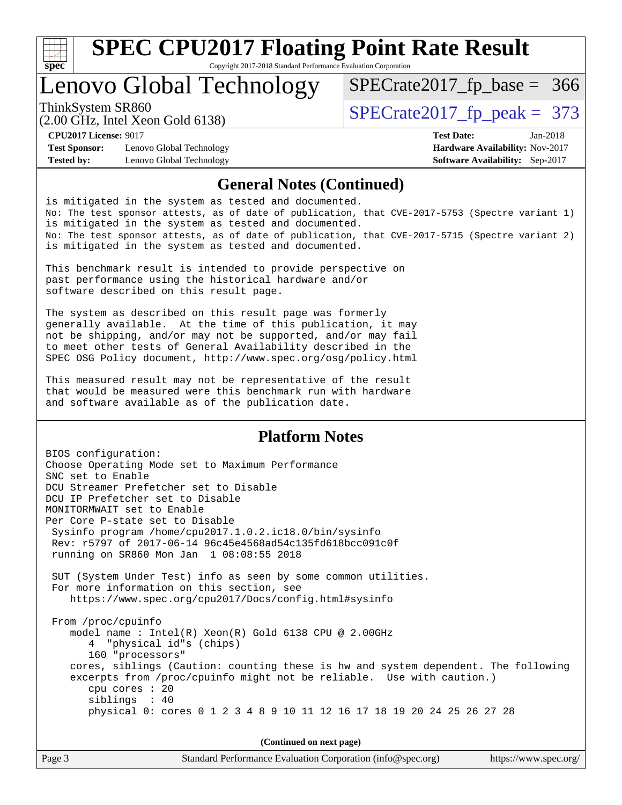

Copyright 2017-2018 Standard Performance Evaluation Corporation

## Lenovo Global Technology

ThinkSystem SR860<br>  $\binom{200}{4}$  [SPECrate2017\\_fp\\_peak =](http://www.spec.org/auto/cpu2017/Docs/result-fields.html#SPECrate2017fppeak) 373

[SPECrate2017\\_fp\\_base =](http://www.spec.org/auto/cpu2017/Docs/result-fields.html#SPECrate2017fpbase) 366

(2.00 GHz, Intel Xeon Gold 6138)

**[Test Sponsor:](http://www.spec.org/auto/cpu2017/Docs/result-fields.html#TestSponsor)** Lenovo Global Technology **[Hardware Availability:](http://www.spec.org/auto/cpu2017/Docs/result-fields.html#HardwareAvailability)** Nov-2017 **[Tested by:](http://www.spec.org/auto/cpu2017/Docs/result-fields.html#Testedby)** Lenovo Global Technology **[Software Availability:](http://www.spec.org/auto/cpu2017/Docs/result-fields.html#SoftwareAvailability)** Sep-2017

**[CPU2017 License:](http://www.spec.org/auto/cpu2017/Docs/result-fields.html#CPU2017License)** 9017 **[Test Date:](http://www.spec.org/auto/cpu2017/Docs/result-fields.html#TestDate)** Jan-2018

### **[General Notes \(Continued\)](http://www.spec.org/auto/cpu2017/Docs/result-fields.html#GeneralNotes)**

is mitigated in the system as tested and documented. No: The test sponsor attests, as of date of publication, that CVE-2017-5753 (Spectre variant 1) is mitigated in the system as tested and documented. No: The test sponsor attests, as of date of publication, that CVE-2017-5715 (Spectre variant 2) is mitigated in the system as tested and documented.

This benchmark result is intended to provide perspective on past performance using the historical hardware and/or software described on this result page.

The system as described on this result page was formerly generally available. At the time of this publication, it may not be shipping, and/or may not be supported, and/or may fail to meet other tests of General Availability described in the SPEC OSG Policy document, <http://www.spec.org/osg/policy.html>

This measured result may not be representative of the result that would be measured were this benchmark run with hardware and software available as of the publication date.

### **[Platform Notes](http://www.spec.org/auto/cpu2017/Docs/result-fields.html#PlatformNotes)**

BIOS configuration: Choose Operating Mode set to Maximum Performance SNC set to Enable DCU Streamer Prefetcher set to Disable DCU IP Prefetcher set to Disable MONITORMWAIT set to Enable Per Core P-state set to Disable Sysinfo program /home/cpu2017.1.0.2.ic18.0/bin/sysinfo Rev: r5797 of 2017-06-14 96c45e4568ad54c135fd618bcc091c0f running on SR860 Mon Jan 1 08:08:55 2018 SUT (System Under Test) info as seen by some common utilities. For more information on this section, see <https://www.spec.org/cpu2017/Docs/config.html#sysinfo> From /proc/cpuinfo model name : Intel(R) Xeon(R) Gold 6138 CPU @ 2.00GHz 4 "physical id"s (chips) 160 "processors" cores, siblings (Caution: counting these is hw and system dependent. The following excerpts from /proc/cpuinfo might not be reliable. Use with caution.) cpu cores : 20 siblings : 40 physical 0: cores 0 1 2 3 4 8 9 10 11 12 16 17 18 19 20 24 25 26 27 28

**(Continued on next page)**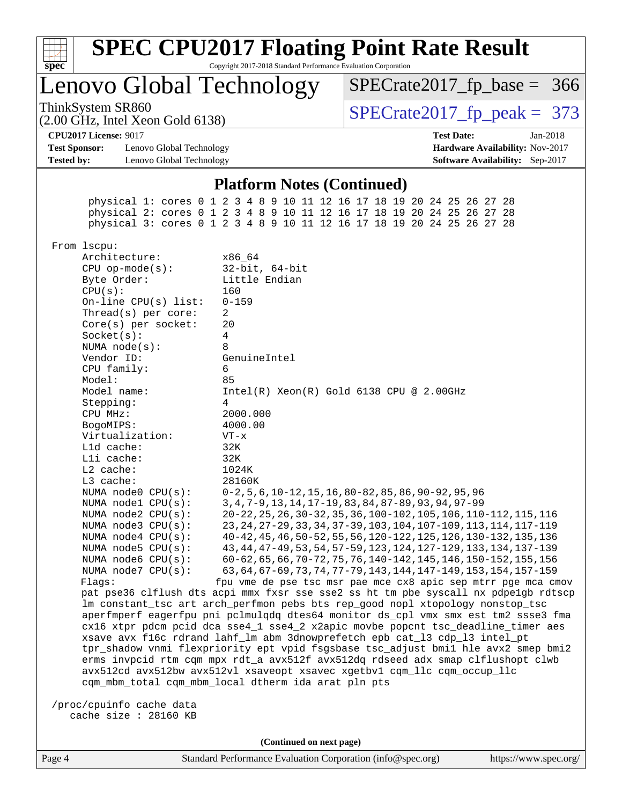| s<br>t.<br>U<br>Ų<br>c |  |  |  |  |  |  |
|------------------------|--|--|--|--|--|--|

Copyright 2017-2018 Standard Performance Evaluation Corporation

Lenovo Global Technology

ThinkSystem SR860<br>(2.00 GHz, Intel Xeon Gold 6138) [SPECrate2017\\_fp\\_peak =](http://www.spec.org/auto/cpu2017/Docs/result-fields.html#SPECrate2017fppeak) 373 [SPECrate2017\\_fp\\_base =](http://www.spec.org/auto/cpu2017/Docs/result-fields.html#SPECrate2017fpbase) 366

**[CPU2017 License:](http://www.spec.org/auto/cpu2017/Docs/result-fields.html#CPU2017License)** 9017 **[Test Date:](http://www.spec.org/auto/cpu2017/Docs/result-fields.html#TestDate)** Jan-2018

**[Test Sponsor:](http://www.spec.org/auto/cpu2017/Docs/result-fields.html#TestSponsor)** Lenovo Global Technology **[Hardware Availability:](http://www.spec.org/auto/cpu2017/Docs/result-fields.html#HardwareAvailability)** Nov-2017 **[Tested by:](http://www.spec.org/auto/cpu2017/Docs/result-fields.html#Testedby)** Lenovo Global Technology **[Software Availability:](http://www.spec.org/auto/cpu2017/Docs/result-fields.html#SoftwareAvailability)** Sep-2017

(2.00 GHz, Intel Xeon Gold 6138)

#### **[Platform Notes \(Continued\)](http://www.spec.org/auto/cpu2017/Docs/result-fields.html#PlatformNotes)**

 physical 1: cores 0 1 2 3 4 8 9 10 11 12 16 17 18 19 20 24 25 26 27 28 physical 2: cores 0 1 2 3 4 8 9 10 11 12 16 17 18 19 20 24 25 26 27 28 physical 3: cores 0 1 2 3 4 8 9 10 11 12 16 17 18 19 20 24 25 26 27 28 From lscpu: Architecture: x86\_64 CPU op-mode(s): 32-bit, 64-bit Byte Order: Little Endian CPU(s): 160 On-line CPU(s) list: 0-159 Thread(s) per core: 2 Core(s) per socket: 20 Socket(s): 4 NUMA node(s): 8 Vendor ID: GenuineIntel CPU family: 6 Model: 85 Model name: Intel(R) Xeon(R) Gold 6138 CPU @ 2.00GHz Stepping: 4 CPU MHz: 2000.000 BogoMIPS: 4000.00 Virtualization: VT-x L1d cache: 32K L1i cache: 32K L2 cache: 1024K L3 cache: 28160K NUMA node0 CPU(s): 0-2,5,6,10-12,15,16,80-82,85,86,90-92,95,96 NUMA node1 CPU(s): 3,4,7-9,13,14,17-19,83,84,87-89,93,94,97-99 NUMA node2 CPU(s): 20-22,25,26,30-32,35,36,100-102,105,106,110-112,115,116 NUMA node3 CPU(s): 23,24,27-29,33,34,37-39,103,104,107-109,113,114,117-119 NUMA node4 CPU(s): 40-42,45,46,50-52,55,56,120-122,125,126,130-132,135,136 NUMA node5 CPU(s): 43,44,47-49,53,54,57-59,123,124,127-129,133,134,137-139 NUMA node6 CPU(s): 60-62,65,66,70-72,75,76,140-142,145,146,150-152,155,156 NUMA node7 CPU(s): 63,64,67-69,73,74,77-79,143,144,147-149,153,154,157-159 Flags: fpu vme de pse tsc msr pae mce cx8 apic sep mtrr pge mca cmov pat pse36 clflush dts acpi mmx fxsr sse sse2 ss ht tm pbe syscall nx pdpe1gb rdtscp lm constant\_tsc art arch\_perfmon pebs bts rep\_good nopl xtopology nonstop\_tsc aperfmperf eagerfpu pni pclmulqdq dtes64 monitor ds\_cpl vmx smx est tm2 ssse3 fma cx16 xtpr pdcm pcid dca sse4\_1 sse4\_2 x2apic movbe popcnt tsc\_deadline\_timer aes xsave avx f16c rdrand lahf\_lm abm 3dnowprefetch epb cat\_l3 cdp\_l3 intel\_pt tpr\_shadow vnmi flexpriority ept vpid fsgsbase tsc\_adjust bmi1 hle avx2 smep bmi2 erms invpcid rtm cqm mpx rdt\_a avx512f avx512dq rdseed adx smap clflushopt clwb avx512cd avx512bw avx512vl xsaveopt xsavec xgetbv1 cqm\_llc cqm\_occup\_llc cqm\_mbm\_total cqm\_mbm\_local dtherm ida arat pln pts /proc/cpuinfo cache data cache size : 28160 KB **(Continued on next page)**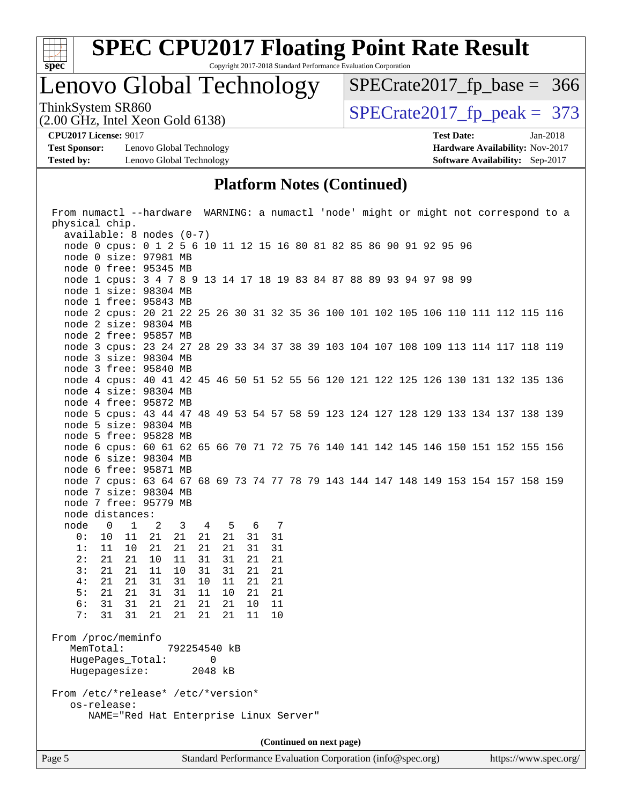

Copyright 2017-2018 Standard Performance Evaluation Corporation

## Lenovo Global Technology

ThinkSystem SR860<br>  $(2.00 \text{ GHz})$  Intel Xeon Gold 6138) [SPECrate2017\\_fp\\_base =](http://www.spec.org/auto/cpu2017/Docs/result-fields.html#SPECrate2017fpbase) 366

(2.00 GHz, Intel Xeon Gold 6138)

**[Test Sponsor:](http://www.spec.org/auto/cpu2017/Docs/result-fields.html#TestSponsor)** Lenovo Global Technology **[Hardware Availability:](http://www.spec.org/auto/cpu2017/Docs/result-fields.html#HardwareAvailability)** Nov-2017 **[Tested by:](http://www.spec.org/auto/cpu2017/Docs/result-fields.html#Testedby)** Lenovo Global Technology **[Software Availability:](http://www.spec.org/auto/cpu2017/Docs/result-fields.html#SoftwareAvailability)** Sep-2017

**[CPU2017 License:](http://www.spec.org/auto/cpu2017/Docs/result-fields.html#CPU2017License)** 9017 **[Test Date:](http://www.spec.org/auto/cpu2017/Docs/result-fields.html#TestDate)** Jan-2018

### **[Platform Notes \(Continued\)](http://www.spec.org/auto/cpu2017/Docs/result-fields.html#PlatformNotes)**

| From numactl --hardware WARNING: a numactl 'node' might or might not correspond to a |                                            |                 |    |     |  |  |  |  |  |  |  |
|--------------------------------------------------------------------------------------|--------------------------------------------|-----------------|----|-----|--|--|--|--|--|--|--|
| physical chip.                                                                       |                                            |                 |    |     |  |  |  |  |  |  |  |
| $available: 8 nodes (0-7)$                                                           |                                            |                 |    |     |  |  |  |  |  |  |  |
| node 0 cpus: 0 1 2 5 6 10 11 12 15 16 80 81 82 85 86 90 91 92 95 96                  |                                            |                 |    |     |  |  |  |  |  |  |  |
| node 0 size: 97981 MB                                                                |                                            |                 |    |     |  |  |  |  |  |  |  |
| node 0 free: 95345 MB                                                                |                                            |                 |    |     |  |  |  |  |  |  |  |
| node 1 cpus: 3 4 7 8 9 13 14 17 18 19 83 84 87 88 89 93 94 97 98 99                  |                                            |                 |    |     |  |  |  |  |  |  |  |
| node 1 size: 98304 MB                                                                |                                            |                 |    |     |  |  |  |  |  |  |  |
| node 1 free: 95843 MB                                                                |                                            |                 |    |     |  |  |  |  |  |  |  |
| node 2 cpus: 20 21 22 25 26 30 31 32 35 36 100 101 102 105 106 110 111 112 115 116   |                                            |                 |    |     |  |  |  |  |  |  |  |
| node 2 size: 98304 MB                                                                |                                            |                 |    |     |  |  |  |  |  |  |  |
| node 2 free: 95857 MB                                                                |                                            |                 |    |     |  |  |  |  |  |  |  |
| node 3 cpus: 23 24 27 28 29 33 34 37 38 39 103 104 107 108 109 113 114 117 118 119   |                                            |                 |    |     |  |  |  |  |  |  |  |
| node 3 size: 98304 MB                                                                |                                            |                 |    |     |  |  |  |  |  |  |  |
| node 3 free: 95840 MB                                                                |                                            |                 |    |     |  |  |  |  |  |  |  |
| node 4 cpus: 40 41 42 45 46 50 51 52 55 56 120 121 122 125 126 130 131 132 135 136   |                                            |                 |    |     |  |  |  |  |  |  |  |
| node 4 size: 98304 MB                                                                |                                            |                 |    |     |  |  |  |  |  |  |  |
| node 4 free: 95872 MB                                                                |                                            |                 |    |     |  |  |  |  |  |  |  |
| node 5 cpus: 43 44 47 48 49 53 54 57 58 59 123 124 127 128 129 133 134 137 138 139   |                                            |                 |    |     |  |  |  |  |  |  |  |
| node 5 size: 98304 MB                                                                |                                            |                 |    |     |  |  |  |  |  |  |  |
| node 5 free: 95828 MB                                                                |                                            |                 |    |     |  |  |  |  |  |  |  |
| node 6 cpus: 60 61 62 65 66 70 71 72 75 76 140 141 142 145 146 150 151 152 155 156   |                                            |                 |    |     |  |  |  |  |  |  |  |
| node 6 size: 98304 MB                                                                |                                            |                 |    |     |  |  |  |  |  |  |  |
| node 6 free: 95871 MB                                                                |                                            |                 |    |     |  |  |  |  |  |  |  |
| node 7 cpus: 63 64 67 68 69 73 74 77 78 79 143 144 147 148 149 153 154 157 158 159   |                                            |                 |    |     |  |  |  |  |  |  |  |
| node 7 size: 98304 MB                                                                |                                            |                 |    |     |  |  |  |  |  |  |  |
| node 7 free: 95779 MB                                                                |                                            |                 |    |     |  |  |  |  |  |  |  |
| node distances:                                                                      |                                            |                 |    |     |  |  |  |  |  |  |  |
| node<br>$\mathbf{1}$<br>$\overline{0}$                                               | $\mathbf{3}$<br>$\overline{\phantom{0}}^2$ | $4\overline{4}$ | 5  | 6 7 |  |  |  |  |  |  |  |
| 0:<br>10<br>11                                                                       | 21<br>21                                   | 21<br>21        | 31 | 31  |  |  |  |  |  |  |  |
| 1:<br>11<br>10                                                                       | 21<br>21                                   | 21<br>21        | 31 | 31  |  |  |  |  |  |  |  |
| 2:<br>21<br>21                                                                       | 10<br>11                                   | 31<br>31        | 21 | 21  |  |  |  |  |  |  |  |
| 3:<br>21<br>21                                                                       | 11<br>10                                   | 31<br>31        | 21 | 21  |  |  |  |  |  |  |  |
| 4 :<br>21<br>21                                                                      | 31<br>31                                   | 10<br>11        | 21 | 21  |  |  |  |  |  |  |  |
| 5:<br>21<br>21                                                                       | 31<br>31                                   | 11<br>10        | 21 | 21  |  |  |  |  |  |  |  |
| 6:<br>31<br>31                                                                       | 21<br>21                                   | 21<br>21        | 10 | 11  |  |  |  |  |  |  |  |
| 7:<br>31<br>31                                                                       | 21<br>21                                   | 21<br>21        | 11 | 10  |  |  |  |  |  |  |  |
|                                                                                      |                                            |                 |    |     |  |  |  |  |  |  |  |
| From /proc/meminfo                                                                   |                                            |                 |    |     |  |  |  |  |  |  |  |
| MemTotal:                                                                            |                                            | 792254540 kB    |    |     |  |  |  |  |  |  |  |
| HugePages_Total:                                                                     |                                            | 0               |    |     |  |  |  |  |  |  |  |
| Hugepagesize:                                                                        |                                            | 2048 kB         |    |     |  |  |  |  |  |  |  |
|                                                                                      |                                            |                 |    |     |  |  |  |  |  |  |  |
| os-release:                                                                          | From /etc/*release* /etc/*version*         |                 |    |     |  |  |  |  |  |  |  |
| NAME="Red Hat Enterprise Linux Server"                                               |                                            |                 |    |     |  |  |  |  |  |  |  |
|                                                                                      |                                            |                 |    |     |  |  |  |  |  |  |  |
|                                                                                      |                                            |                 |    |     |  |  |  |  |  |  |  |
|                                                                                      | (Continued on next page)                   |                 |    |     |  |  |  |  |  |  |  |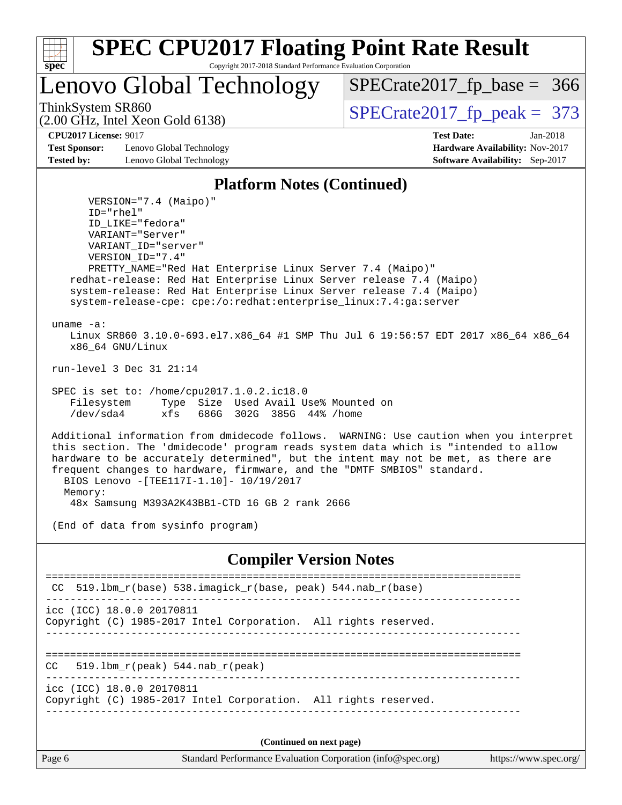

Lenovo Global Technology

ThinkSystem SR860<br>  $\frac{1}{200}$  [SPECrate2017\\_fp\\_peak =](http://www.spec.org/auto/cpu2017/Docs/result-fields.html#SPECrate2017fppeak) 373

[SPECrate2017\\_fp\\_base =](http://www.spec.org/auto/cpu2017/Docs/result-fields.html#SPECrate2017fpbase) 366

(2.00 GHz, Intel Xeon Gold 6138)

**[Test Sponsor:](http://www.spec.org/auto/cpu2017/Docs/result-fields.html#TestSponsor)** Lenovo Global Technology **[Hardware Availability:](http://www.spec.org/auto/cpu2017/Docs/result-fields.html#HardwareAvailability)** Nov-2017 **[Tested by:](http://www.spec.org/auto/cpu2017/Docs/result-fields.html#Testedby)** Lenovo Global Technology **[Software Availability:](http://www.spec.org/auto/cpu2017/Docs/result-fields.html#SoftwareAvailability)** Sep-2017

**[CPU2017 License:](http://www.spec.org/auto/cpu2017/Docs/result-fields.html#CPU2017License)** 9017 **[Test Date:](http://www.spec.org/auto/cpu2017/Docs/result-fields.html#TestDate)** Jan-2018

### **[Platform Notes \(Continued\)](http://www.spec.org/auto/cpu2017/Docs/result-fields.html#PlatformNotes)**

 VERSION="7.4 (Maipo)" ID="rhel" ID\_LIKE="fedora" VARIANT="Server" VARIANT\_ID="server" VERSION\_ID="7.4" PRETTY\_NAME="Red Hat Enterprise Linux Server 7.4 (Maipo)" redhat-release: Red Hat Enterprise Linux Server release 7.4 (Maipo) system-release: Red Hat Enterprise Linux Server release 7.4 (Maipo) system-release-cpe: cpe:/o:redhat:enterprise\_linux:7.4:ga:server uname -a: Linux SR860 3.10.0-693.el7.x86\_64 #1 SMP Thu Jul 6 19:56:57 EDT 2017 x86\_64 x86\_64 x86\_64 GNU/Linux run-level 3 Dec 31 21:14 SPEC is set to: /home/cpu2017.1.0.2.ic18.0 Filesystem Type Size Used Avail Use% Mounted on /dev/sda4 xfs 686G 302G 385G 44% /home Additional information from dmidecode follows. WARNING: Use caution when you interpret this section. The 'dmidecode' program reads system data which is "intended to allow hardware to be accurately determined", but the intent may not be met, as there are frequent changes to hardware, firmware, and the "DMTF SMBIOS" standard. BIOS Lenovo -[TEE117I-1.10]- 10/19/2017 Memory: 48x Samsung M393A2K43BB1-CTD 16 GB 2 rank 2666 (End of data from sysinfo program) **[Compiler Version Notes](http://www.spec.org/auto/cpu2017/Docs/result-fields.html#CompilerVersionNotes)** ============================================================================== CC 519.lbm\_r(base) 538.imagick\_r(base, peak) 544.nab\_r(base) ----------------------------------------------------------------------------- icc (ICC) 18.0.0 20170811 Copyright (C) 1985-2017 Intel Corporation. All rights reserved. ------------------------------------------------------------------------------ ==============================================================================

 $CC = 519.1bm_r(peak) 544.nab_r(peak)$ ------------------------------------------------------------------------------

icc (ICC) 18.0.0 20170811 Copyright (C) 1985-2017 Intel Corporation. All rights reserved. ------------------------------------------------------------------------------

**(Continued on next page)**

Page 6 Standard Performance Evaluation Corporation [\(info@spec.org\)](mailto:info@spec.org) <https://www.spec.org/>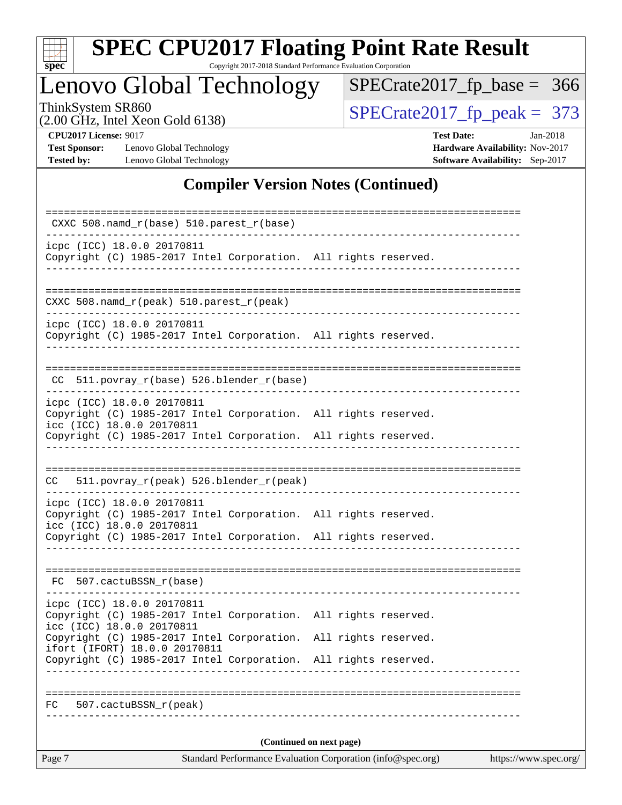| S<br>оe |  |  |  |  |  |
|---------|--|--|--|--|--|

Copyright 2017-2018 Standard Performance Evaluation Corporation

## Lenovo Global Technology

ThinkSystem SR860<br>  $(2.00 \text{ GHz})$  Intel Xeon Gold 6138)

[SPECrate2017\\_fp\\_base =](http://www.spec.org/auto/cpu2017/Docs/result-fields.html#SPECrate2017fpbase) 366

(2.00 GHz, Intel Xeon Gold 6138)

**[CPU2017 License:](http://www.spec.org/auto/cpu2017/Docs/result-fields.html#CPU2017License)** 9017 **[Test Date:](http://www.spec.org/auto/cpu2017/Docs/result-fields.html#TestDate)** Jan-2018 **[Test Sponsor:](http://www.spec.org/auto/cpu2017/Docs/result-fields.html#TestSponsor)** Lenovo Global Technology **[Hardware Availability:](http://www.spec.org/auto/cpu2017/Docs/result-fields.html#HardwareAvailability)** Nov-2017 **[Tested by:](http://www.spec.org/auto/cpu2017/Docs/result-fields.html#Testedby)** Lenovo Global Technology **[Software Availability:](http://www.spec.org/auto/cpu2017/Docs/result-fields.html#SoftwareAvailability)** Sep-2017

### **[Compiler Version Notes \(Continued\)](http://www.spec.org/auto/cpu2017/Docs/result-fields.html#CompilerVersionNotes)**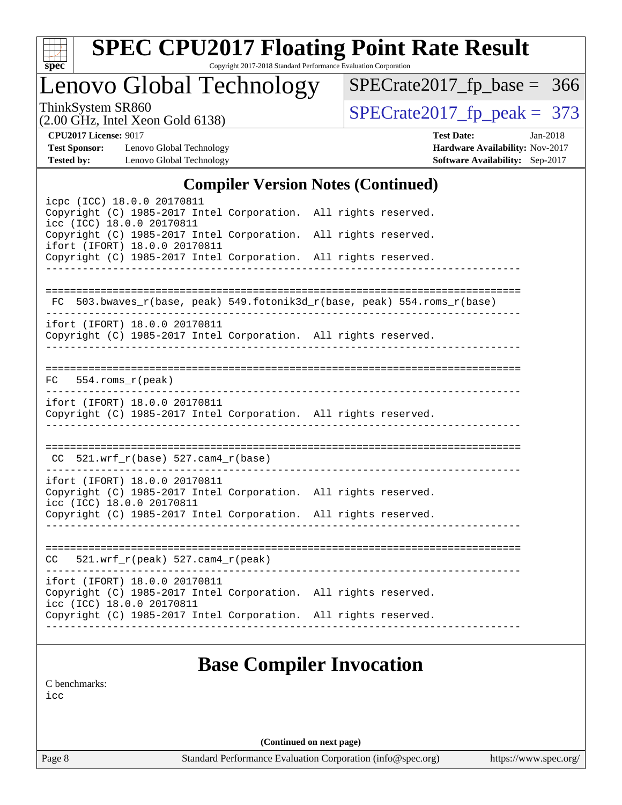

Copyright 2017-2018 Standard Performance Evaluation Corporation

## Lenovo Global Technology

ThinkSystem SR860<br>(2.00 GHz, Intel Xeon Gold 6138) [SPECrate2017\\_fp\\_peak =](http://www.spec.org/auto/cpu2017/Docs/result-fields.html#SPECrate2017fppeak) 373 [SPECrate2017\\_fp\\_base =](http://www.spec.org/auto/cpu2017/Docs/result-fields.html#SPECrate2017fpbase) 366

(2.00 GHz, Intel Xeon Gold 6138)

**[CPU2017 License:](http://www.spec.org/auto/cpu2017/Docs/result-fields.html#CPU2017License)** 9017 **[Test Date:](http://www.spec.org/auto/cpu2017/Docs/result-fields.html#TestDate)** Jan-2018

**[Test Sponsor:](http://www.spec.org/auto/cpu2017/Docs/result-fields.html#TestSponsor)** Lenovo Global Technology **[Hardware Availability:](http://www.spec.org/auto/cpu2017/Docs/result-fields.html#HardwareAvailability)** Nov-2017 **[Tested by:](http://www.spec.org/auto/cpu2017/Docs/result-fields.html#Testedby)** Lenovo Global Technology **[Software Availability:](http://www.spec.org/auto/cpu2017/Docs/result-fields.html#SoftwareAvailability)** Sep-2017

### **[Compiler Version Notes \(Continued\)](http://www.spec.org/auto/cpu2017/Docs/result-fields.html#CompilerVersionNotes)**

| icpc (ICC) 18.0.0 20170811<br>Copyright (C) 1985-2017 Intel Corporation. All rights reserved.<br>icc (ICC) 18.0.0 20170811    |                        |                                                                          |
|-------------------------------------------------------------------------------------------------------------------------------|------------------------|--------------------------------------------------------------------------|
| Copyright (C) 1985-2017 Intel Corporation. All rights reserved.<br>ifort (IFORT) 18.0.0 20170811                              |                        |                                                                          |
| Copyright (C) 1985-2017 Intel Corporation. All rights reserved.                                                               |                        |                                                                          |
|                                                                                                                               |                        |                                                                          |
|                                                                                                                               |                        | FC 503.bwaves_r(base, peak) 549.fotonik3d_r(base, peak) 554.roms_r(base) |
| ifort (IFORT) 18.0.0 20170811<br>Copyright (C) 1985-2017 Intel Corporation. All rights reserved.                              | ______________________ |                                                                          |
| $FC$ 554.roms $r$ (peak)                                                                                                      |                        |                                                                          |
| ifort (IFORT) 18.0.0 20170811<br>Copyright (C) 1985-2017 Intel Corporation. All rights reserved.                              |                        |                                                                          |
| $CC$ 521.wrf_r(base) 527.cam4_r(base)                                                                                         |                        |                                                                          |
| ifort (IFORT) 18.0.0 20170811<br>Copyright (C) 1985-2017 Intel Corporation. All rights reserved.<br>icc (ICC) 18.0.0 20170811 |                        |                                                                          |
| Copyright (C) 1985-2017 Intel Corporation. All rights reserved.                                                               |                        |                                                                          |
| $521.wrf_r(peak) 527.cam4_r(peak)$<br>CC                                                                                      |                        |                                                                          |
| ifort (IFORT) 18.0.0 20170811<br>Copyright (C) 1985-2017 Intel Corporation. All rights reserved.<br>icc (ICC) 18.0.0 20170811 |                        |                                                                          |
| Copyright (C) 1985-2017 Intel Corporation. All rights reserved.                                                               |                        |                                                                          |
|                                                                                                                               |                        |                                                                          |

### **[Base Compiler Invocation](http://www.spec.org/auto/cpu2017/Docs/result-fields.html#BaseCompilerInvocation)**

[C benchmarks](http://www.spec.org/auto/cpu2017/Docs/result-fields.html#Cbenchmarks): [icc](http://www.spec.org/cpu2017/results/res2018q1/cpu2017-20180108-02559.flags.html#user_CCbase_intel_icc_18.0_66fc1ee009f7361af1fbd72ca7dcefbb700085f36577c54f309893dd4ec40d12360134090235512931783d35fd58c0460139e722d5067c5574d8eaf2b3e37e92)

**(Continued on next page)**

Page 8 Standard Performance Evaluation Corporation [\(info@spec.org\)](mailto:info@spec.org) <https://www.spec.org/>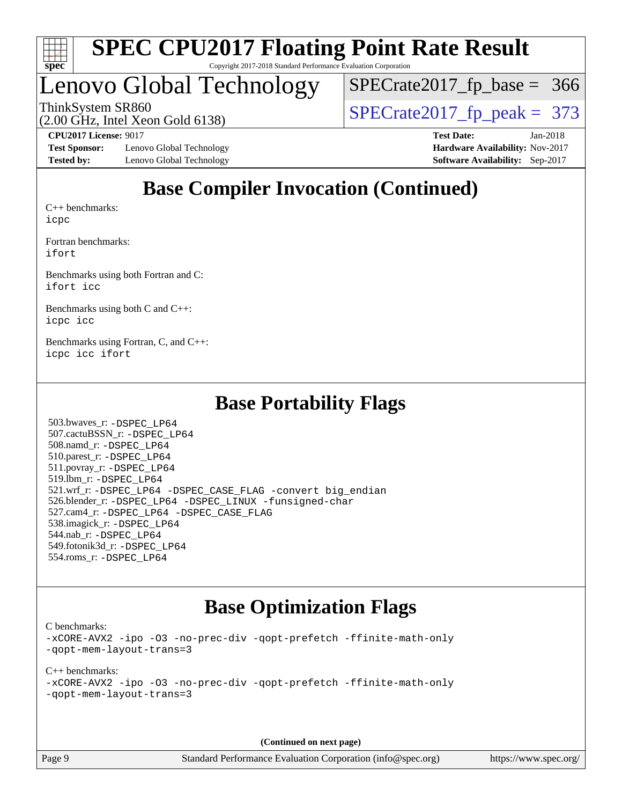

Copyright 2017-2018 Standard Performance Evaluation Corporation

## Lenovo Global Technology

ThinkSystem SR860<br>(2.00 GHz, Intel Xeon Gold 6138) [SPECrate2017\\_fp\\_peak =](http://www.spec.org/auto/cpu2017/Docs/result-fields.html#SPECrate2017fppeak) 373 [SPECrate2017\\_fp\\_base =](http://www.spec.org/auto/cpu2017/Docs/result-fields.html#SPECrate2017fpbase) 366

(2.00 GHz, Intel Xeon Gold 6138)

**[Test Sponsor:](http://www.spec.org/auto/cpu2017/Docs/result-fields.html#TestSponsor)** Lenovo Global Technology **[Hardware Availability:](http://www.spec.org/auto/cpu2017/Docs/result-fields.html#HardwareAvailability)** Nov-2017 **[Tested by:](http://www.spec.org/auto/cpu2017/Docs/result-fields.html#Testedby)** Lenovo Global Technology **[Software Availability:](http://www.spec.org/auto/cpu2017/Docs/result-fields.html#SoftwareAvailability)** Sep-2017

**[CPU2017 License:](http://www.spec.org/auto/cpu2017/Docs/result-fields.html#CPU2017License)** 9017 **[Test Date:](http://www.spec.org/auto/cpu2017/Docs/result-fields.html#TestDate)** Jan-2018

## **[Base Compiler Invocation \(Continued\)](http://www.spec.org/auto/cpu2017/Docs/result-fields.html#BaseCompilerInvocation)**

[C++ benchmarks:](http://www.spec.org/auto/cpu2017/Docs/result-fields.html#CXXbenchmarks) [icpc](http://www.spec.org/cpu2017/results/res2018q1/cpu2017-20180108-02559.flags.html#user_CXXbase_intel_icpc_18.0_c510b6838c7f56d33e37e94d029a35b4a7bccf4766a728ee175e80a419847e808290a9b78be685c44ab727ea267ec2f070ec5dc83b407c0218cded6866a35d07)

[Fortran benchmarks](http://www.spec.org/auto/cpu2017/Docs/result-fields.html#Fortranbenchmarks): [ifort](http://www.spec.org/cpu2017/results/res2018q1/cpu2017-20180108-02559.flags.html#user_FCbase_intel_ifort_18.0_8111460550e3ca792625aed983ce982f94888b8b503583aa7ba2b8303487b4d8a21a13e7191a45c5fd58ff318f48f9492884d4413fa793fd88dd292cad7027ca)

[Benchmarks using both Fortran and C](http://www.spec.org/auto/cpu2017/Docs/result-fields.html#BenchmarksusingbothFortranandC): [ifort](http://www.spec.org/cpu2017/results/res2018q1/cpu2017-20180108-02559.flags.html#user_CC_FCbase_intel_ifort_18.0_8111460550e3ca792625aed983ce982f94888b8b503583aa7ba2b8303487b4d8a21a13e7191a45c5fd58ff318f48f9492884d4413fa793fd88dd292cad7027ca) [icc](http://www.spec.org/cpu2017/results/res2018q1/cpu2017-20180108-02559.flags.html#user_CC_FCbase_intel_icc_18.0_66fc1ee009f7361af1fbd72ca7dcefbb700085f36577c54f309893dd4ec40d12360134090235512931783d35fd58c0460139e722d5067c5574d8eaf2b3e37e92)

[Benchmarks using both C and C++](http://www.spec.org/auto/cpu2017/Docs/result-fields.html#BenchmarksusingbothCandCXX): [icpc](http://www.spec.org/cpu2017/results/res2018q1/cpu2017-20180108-02559.flags.html#user_CC_CXXbase_intel_icpc_18.0_c510b6838c7f56d33e37e94d029a35b4a7bccf4766a728ee175e80a419847e808290a9b78be685c44ab727ea267ec2f070ec5dc83b407c0218cded6866a35d07) [icc](http://www.spec.org/cpu2017/results/res2018q1/cpu2017-20180108-02559.flags.html#user_CC_CXXbase_intel_icc_18.0_66fc1ee009f7361af1fbd72ca7dcefbb700085f36577c54f309893dd4ec40d12360134090235512931783d35fd58c0460139e722d5067c5574d8eaf2b3e37e92)

[Benchmarks using Fortran, C, and C++:](http://www.spec.org/auto/cpu2017/Docs/result-fields.html#BenchmarksusingFortranCandCXX) [icpc](http://www.spec.org/cpu2017/results/res2018q1/cpu2017-20180108-02559.flags.html#user_CC_CXX_FCbase_intel_icpc_18.0_c510b6838c7f56d33e37e94d029a35b4a7bccf4766a728ee175e80a419847e808290a9b78be685c44ab727ea267ec2f070ec5dc83b407c0218cded6866a35d07) [icc](http://www.spec.org/cpu2017/results/res2018q1/cpu2017-20180108-02559.flags.html#user_CC_CXX_FCbase_intel_icc_18.0_66fc1ee009f7361af1fbd72ca7dcefbb700085f36577c54f309893dd4ec40d12360134090235512931783d35fd58c0460139e722d5067c5574d8eaf2b3e37e92) [ifort](http://www.spec.org/cpu2017/results/res2018q1/cpu2017-20180108-02559.flags.html#user_CC_CXX_FCbase_intel_ifort_18.0_8111460550e3ca792625aed983ce982f94888b8b503583aa7ba2b8303487b4d8a21a13e7191a45c5fd58ff318f48f9492884d4413fa793fd88dd292cad7027ca)

### **[Base Portability Flags](http://www.spec.org/auto/cpu2017/Docs/result-fields.html#BasePortabilityFlags)**

 503.bwaves\_r: [-DSPEC\\_LP64](http://www.spec.org/cpu2017/results/res2018q1/cpu2017-20180108-02559.flags.html#suite_basePORTABILITY503_bwaves_r_DSPEC_LP64) 507.cactuBSSN\_r: [-DSPEC\\_LP64](http://www.spec.org/cpu2017/results/res2018q1/cpu2017-20180108-02559.flags.html#suite_basePORTABILITY507_cactuBSSN_r_DSPEC_LP64) 508.namd\_r: [-DSPEC\\_LP64](http://www.spec.org/cpu2017/results/res2018q1/cpu2017-20180108-02559.flags.html#suite_basePORTABILITY508_namd_r_DSPEC_LP64) 510.parest\_r: [-DSPEC\\_LP64](http://www.spec.org/cpu2017/results/res2018q1/cpu2017-20180108-02559.flags.html#suite_basePORTABILITY510_parest_r_DSPEC_LP64) 511.povray\_r: [-DSPEC\\_LP64](http://www.spec.org/cpu2017/results/res2018q1/cpu2017-20180108-02559.flags.html#suite_basePORTABILITY511_povray_r_DSPEC_LP64) 519.lbm\_r: [-DSPEC\\_LP64](http://www.spec.org/cpu2017/results/res2018q1/cpu2017-20180108-02559.flags.html#suite_basePORTABILITY519_lbm_r_DSPEC_LP64) 521.wrf\_r: [-DSPEC\\_LP64](http://www.spec.org/cpu2017/results/res2018q1/cpu2017-20180108-02559.flags.html#suite_basePORTABILITY521_wrf_r_DSPEC_LP64) [-DSPEC\\_CASE\\_FLAG](http://www.spec.org/cpu2017/results/res2018q1/cpu2017-20180108-02559.flags.html#b521.wrf_r_baseCPORTABILITY_DSPEC_CASE_FLAG) [-convert big\\_endian](http://www.spec.org/cpu2017/results/res2018q1/cpu2017-20180108-02559.flags.html#user_baseFPORTABILITY521_wrf_r_convert_big_endian_c3194028bc08c63ac5d04de18c48ce6d347e4e562e8892b8bdbdc0214820426deb8554edfa529a3fb25a586e65a3d812c835984020483e7e73212c4d31a38223) 526.blender\_r: [-DSPEC\\_LP64](http://www.spec.org/cpu2017/results/res2018q1/cpu2017-20180108-02559.flags.html#suite_basePORTABILITY526_blender_r_DSPEC_LP64) [-DSPEC\\_LINUX](http://www.spec.org/cpu2017/results/res2018q1/cpu2017-20180108-02559.flags.html#b526.blender_r_baseCPORTABILITY_DSPEC_LINUX) [-funsigned-char](http://www.spec.org/cpu2017/results/res2018q1/cpu2017-20180108-02559.flags.html#user_baseCPORTABILITY526_blender_r_force_uchar_40c60f00ab013830e2dd6774aeded3ff59883ba5a1fc5fc14077f794d777847726e2a5858cbc7672e36e1b067e7e5c1d9a74f7176df07886a243d7cc18edfe67) 527.cam4\_r: [-DSPEC\\_LP64](http://www.spec.org/cpu2017/results/res2018q1/cpu2017-20180108-02559.flags.html#suite_basePORTABILITY527_cam4_r_DSPEC_LP64) [-DSPEC\\_CASE\\_FLAG](http://www.spec.org/cpu2017/results/res2018q1/cpu2017-20180108-02559.flags.html#b527.cam4_r_baseCPORTABILITY_DSPEC_CASE_FLAG) 538.imagick\_r: [-DSPEC\\_LP64](http://www.spec.org/cpu2017/results/res2018q1/cpu2017-20180108-02559.flags.html#suite_basePORTABILITY538_imagick_r_DSPEC_LP64) 544.nab\_r: [-DSPEC\\_LP64](http://www.spec.org/cpu2017/results/res2018q1/cpu2017-20180108-02559.flags.html#suite_basePORTABILITY544_nab_r_DSPEC_LP64) 549.fotonik3d\_r: [-DSPEC\\_LP64](http://www.spec.org/cpu2017/results/res2018q1/cpu2017-20180108-02559.flags.html#suite_basePORTABILITY549_fotonik3d_r_DSPEC_LP64) 554.roms\_r: [-DSPEC\\_LP64](http://www.spec.org/cpu2017/results/res2018q1/cpu2017-20180108-02559.flags.html#suite_basePORTABILITY554_roms_r_DSPEC_LP64)

### **[Base Optimization Flags](http://www.spec.org/auto/cpu2017/Docs/result-fields.html#BaseOptimizationFlags)**

[C benchmarks](http://www.spec.org/auto/cpu2017/Docs/result-fields.html#Cbenchmarks):

[-xCORE-AVX2](http://www.spec.org/cpu2017/results/res2018q1/cpu2017-20180108-02559.flags.html#user_CCbase_f-xCORE-AVX2) [-ipo](http://www.spec.org/cpu2017/results/res2018q1/cpu2017-20180108-02559.flags.html#user_CCbase_f-ipo) [-O3](http://www.spec.org/cpu2017/results/res2018q1/cpu2017-20180108-02559.flags.html#user_CCbase_f-O3) [-no-prec-div](http://www.spec.org/cpu2017/results/res2018q1/cpu2017-20180108-02559.flags.html#user_CCbase_f-no-prec-div) [-qopt-prefetch](http://www.spec.org/cpu2017/results/res2018q1/cpu2017-20180108-02559.flags.html#user_CCbase_f-qopt-prefetch) [-ffinite-math-only](http://www.spec.org/cpu2017/results/res2018q1/cpu2017-20180108-02559.flags.html#user_CCbase_f_finite_math_only_cb91587bd2077682c4b38af759c288ed7c732db004271a9512da14a4f8007909a5f1427ecbf1a0fb78ff2a814402c6114ac565ca162485bbcae155b5e4258871) [-qopt-mem-layout-trans=3](http://www.spec.org/cpu2017/results/res2018q1/cpu2017-20180108-02559.flags.html#user_CCbase_f-qopt-mem-layout-trans_de80db37974c74b1f0e20d883f0b675c88c3b01e9d123adea9b28688d64333345fb62bc4a798493513fdb68f60282f9a726aa07f478b2f7113531aecce732043)

[C++ benchmarks:](http://www.spec.org/auto/cpu2017/Docs/result-fields.html#CXXbenchmarks) [-xCORE-AVX2](http://www.spec.org/cpu2017/results/res2018q1/cpu2017-20180108-02559.flags.html#user_CXXbase_f-xCORE-AVX2) [-ipo](http://www.spec.org/cpu2017/results/res2018q1/cpu2017-20180108-02559.flags.html#user_CXXbase_f-ipo) [-O3](http://www.spec.org/cpu2017/results/res2018q1/cpu2017-20180108-02559.flags.html#user_CXXbase_f-O3) [-no-prec-div](http://www.spec.org/cpu2017/results/res2018q1/cpu2017-20180108-02559.flags.html#user_CXXbase_f-no-prec-div) [-qopt-prefetch](http://www.spec.org/cpu2017/results/res2018q1/cpu2017-20180108-02559.flags.html#user_CXXbase_f-qopt-prefetch) [-ffinite-math-only](http://www.spec.org/cpu2017/results/res2018q1/cpu2017-20180108-02559.flags.html#user_CXXbase_f_finite_math_only_cb91587bd2077682c4b38af759c288ed7c732db004271a9512da14a4f8007909a5f1427ecbf1a0fb78ff2a814402c6114ac565ca162485bbcae155b5e4258871) [-qopt-mem-layout-trans=3](http://www.spec.org/cpu2017/results/res2018q1/cpu2017-20180108-02559.flags.html#user_CXXbase_f-qopt-mem-layout-trans_de80db37974c74b1f0e20d883f0b675c88c3b01e9d123adea9b28688d64333345fb62bc4a798493513fdb68f60282f9a726aa07f478b2f7113531aecce732043)

**(Continued on next page)**

Page 9 Standard Performance Evaluation Corporation [\(info@spec.org\)](mailto:info@spec.org) <https://www.spec.org/>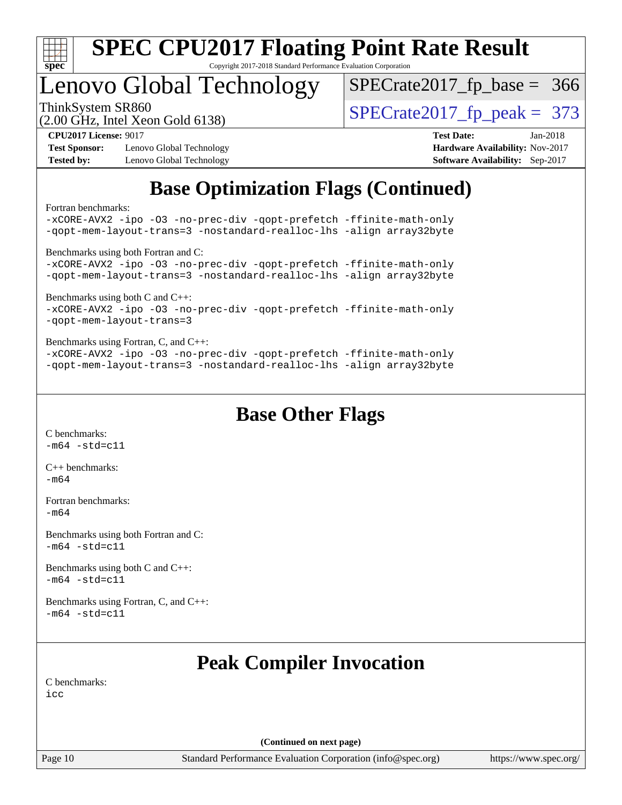

## Lenovo Global Technology

ThinkSystem SR860<br>(2.00 GHz, Intel Xeon Gold 6138) [SPECrate2017\\_fp\\_peak =](http://www.spec.org/auto/cpu2017/Docs/result-fields.html#SPECrate2017fppeak) 373 [SPECrate2017\\_fp\\_base =](http://www.spec.org/auto/cpu2017/Docs/result-fields.html#SPECrate2017fpbase) 366

(2.00 GHz, Intel Xeon Gold 6138)

**[Test Sponsor:](http://www.spec.org/auto/cpu2017/Docs/result-fields.html#TestSponsor)** Lenovo Global Technology **[Hardware Availability:](http://www.spec.org/auto/cpu2017/Docs/result-fields.html#HardwareAvailability)** Nov-2017 **[Tested by:](http://www.spec.org/auto/cpu2017/Docs/result-fields.html#Testedby)** Lenovo Global Technology **[Software Availability:](http://www.spec.org/auto/cpu2017/Docs/result-fields.html#SoftwareAvailability)** Sep-2017

**[CPU2017 License:](http://www.spec.org/auto/cpu2017/Docs/result-fields.html#CPU2017License)** 9017 **[Test Date:](http://www.spec.org/auto/cpu2017/Docs/result-fields.html#TestDate)** Jan-2018

## **[Base Optimization Flags \(Continued\)](http://www.spec.org/auto/cpu2017/Docs/result-fields.html#BaseOptimizationFlags)**

[Fortran benchmarks](http://www.spec.org/auto/cpu2017/Docs/result-fields.html#Fortranbenchmarks):

[-xCORE-AVX2](http://www.spec.org/cpu2017/results/res2018q1/cpu2017-20180108-02559.flags.html#user_FCbase_f-xCORE-AVX2) [-ipo](http://www.spec.org/cpu2017/results/res2018q1/cpu2017-20180108-02559.flags.html#user_FCbase_f-ipo) [-O3](http://www.spec.org/cpu2017/results/res2018q1/cpu2017-20180108-02559.flags.html#user_FCbase_f-O3) [-no-prec-div](http://www.spec.org/cpu2017/results/res2018q1/cpu2017-20180108-02559.flags.html#user_FCbase_f-no-prec-div) [-qopt-prefetch](http://www.spec.org/cpu2017/results/res2018q1/cpu2017-20180108-02559.flags.html#user_FCbase_f-qopt-prefetch) [-ffinite-math-only](http://www.spec.org/cpu2017/results/res2018q1/cpu2017-20180108-02559.flags.html#user_FCbase_f_finite_math_only_cb91587bd2077682c4b38af759c288ed7c732db004271a9512da14a4f8007909a5f1427ecbf1a0fb78ff2a814402c6114ac565ca162485bbcae155b5e4258871) [-qopt-mem-layout-trans=3](http://www.spec.org/cpu2017/results/res2018q1/cpu2017-20180108-02559.flags.html#user_FCbase_f-qopt-mem-layout-trans_de80db37974c74b1f0e20d883f0b675c88c3b01e9d123adea9b28688d64333345fb62bc4a798493513fdb68f60282f9a726aa07f478b2f7113531aecce732043) [-nostandard-realloc-lhs](http://www.spec.org/cpu2017/results/res2018q1/cpu2017-20180108-02559.flags.html#user_FCbase_f_2003_std_realloc_82b4557e90729c0f113870c07e44d33d6f5a304b4f63d4c15d2d0f1fab99f5daaed73bdb9275d9ae411527f28b936061aa8b9c8f2d63842963b95c9dd6426b8a) [-align array32byte](http://www.spec.org/cpu2017/results/res2018q1/cpu2017-20180108-02559.flags.html#user_FCbase_align_array32byte_b982fe038af199962ba9a80c053b8342c548c85b40b8e86eb3cc33dee0d7986a4af373ac2d51c3f7cf710a18d62fdce2948f201cd044323541f22fc0fffc51b6) [Benchmarks using both Fortran and C](http://www.spec.org/auto/cpu2017/Docs/result-fields.html#BenchmarksusingbothFortranandC): [-xCORE-AVX2](http://www.spec.org/cpu2017/results/res2018q1/cpu2017-20180108-02559.flags.html#user_CC_FCbase_f-xCORE-AVX2) [-ipo](http://www.spec.org/cpu2017/results/res2018q1/cpu2017-20180108-02559.flags.html#user_CC_FCbase_f-ipo) [-O3](http://www.spec.org/cpu2017/results/res2018q1/cpu2017-20180108-02559.flags.html#user_CC_FCbase_f-O3) [-no-prec-div](http://www.spec.org/cpu2017/results/res2018q1/cpu2017-20180108-02559.flags.html#user_CC_FCbase_f-no-prec-div) [-qopt-prefetch](http://www.spec.org/cpu2017/results/res2018q1/cpu2017-20180108-02559.flags.html#user_CC_FCbase_f-qopt-prefetch) [-ffinite-math-only](http://www.spec.org/cpu2017/results/res2018q1/cpu2017-20180108-02559.flags.html#user_CC_FCbase_f_finite_math_only_cb91587bd2077682c4b38af759c288ed7c732db004271a9512da14a4f8007909a5f1427ecbf1a0fb78ff2a814402c6114ac565ca162485bbcae155b5e4258871) [-qopt-mem-layout-trans=3](http://www.spec.org/cpu2017/results/res2018q1/cpu2017-20180108-02559.flags.html#user_CC_FCbase_f-qopt-mem-layout-trans_de80db37974c74b1f0e20d883f0b675c88c3b01e9d123adea9b28688d64333345fb62bc4a798493513fdb68f60282f9a726aa07f478b2f7113531aecce732043) [-nostandard-realloc-lhs](http://www.spec.org/cpu2017/results/res2018q1/cpu2017-20180108-02559.flags.html#user_CC_FCbase_f_2003_std_realloc_82b4557e90729c0f113870c07e44d33d6f5a304b4f63d4c15d2d0f1fab99f5daaed73bdb9275d9ae411527f28b936061aa8b9c8f2d63842963b95c9dd6426b8a) [-align array32byte](http://www.spec.org/cpu2017/results/res2018q1/cpu2017-20180108-02559.flags.html#user_CC_FCbase_align_array32byte_b982fe038af199962ba9a80c053b8342c548c85b40b8e86eb3cc33dee0d7986a4af373ac2d51c3f7cf710a18d62fdce2948f201cd044323541f22fc0fffc51b6) [Benchmarks using both C and C++](http://www.spec.org/auto/cpu2017/Docs/result-fields.html#BenchmarksusingbothCandCXX): [-xCORE-AVX2](http://www.spec.org/cpu2017/results/res2018q1/cpu2017-20180108-02559.flags.html#user_CC_CXXbase_f-xCORE-AVX2) [-ipo](http://www.spec.org/cpu2017/results/res2018q1/cpu2017-20180108-02559.flags.html#user_CC_CXXbase_f-ipo) [-O3](http://www.spec.org/cpu2017/results/res2018q1/cpu2017-20180108-02559.flags.html#user_CC_CXXbase_f-O3) [-no-prec-div](http://www.spec.org/cpu2017/results/res2018q1/cpu2017-20180108-02559.flags.html#user_CC_CXXbase_f-no-prec-div) [-qopt-prefetch](http://www.spec.org/cpu2017/results/res2018q1/cpu2017-20180108-02559.flags.html#user_CC_CXXbase_f-qopt-prefetch) [-ffinite-math-only](http://www.spec.org/cpu2017/results/res2018q1/cpu2017-20180108-02559.flags.html#user_CC_CXXbase_f_finite_math_only_cb91587bd2077682c4b38af759c288ed7c732db004271a9512da14a4f8007909a5f1427ecbf1a0fb78ff2a814402c6114ac565ca162485bbcae155b5e4258871) [-qopt-mem-layout-trans=3](http://www.spec.org/cpu2017/results/res2018q1/cpu2017-20180108-02559.flags.html#user_CC_CXXbase_f-qopt-mem-layout-trans_de80db37974c74b1f0e20d883f0b675c88c3b01e9d123adea9b28688d64333345fb62bc4a798493513fdb68f60282f9a726aa07f478b2f7113531aecce732043) [Benchmarks using Fortran, C, and C++:](http://www.spec.org/auto/cpu2017/Docs/result-fields.html#BenchmarksusingFortranCandCXX) [-xCORE-AVX2](http://www.spec.org/cpu2017/results/res2018q1/cpu2017-20180108-02559.flags.html#user_CC_CXX_FCbase_f-xCORE-AVX2) [-ipo](http://www.spec.org/cpu2017/results/res2018q1/cpu2017-20180108-02559.flags.html#user_CC_CXX_FCbase_f-ipo) [-O3](http://www.spec.org/cpu2017/results/res2018q1/cpu2017-20180108-02559.flags.html#user_CC_CXX_FCbase_f-O3) [-no-prec-div](http://www.spec.org/cpu2017/results/res2018q1/cpu2017-20180108-02559.flags.html#user_CC_CXX_FCbase_f-no-prec-div) [-qopt-prefetch](http://www.spec.org/cpu2017/results/res2018q1/cpu2017-20180108-02559.flags.html#user_CC_CXX_FCbase_f-qopt-prefetch) [-ffinite-math-only](http://www.spec.org/cpu2017/results/res2018q1/cpu2017-20180108-02559.flags.html#user_CC_CXX_FCbase_f_finite_math_only_cb91587bd2077682c4b38af759c288ed7c732db004271a9512da14a4f8007909a5f1427ecbf1a0fb78ff2a814402c6114ac565ca162485bbcae155b5e4258871) [-qopt-mem-layout-trans=3](http://www.spec.org/cpu2017/results/res2018q1/cpu2017-20180108-02559.flags.html#user_CC_CXX_FCbase_f-qopt-mem-layout-trans_de80db37974c74b1f0e20d883f0b675c88c3b01e9d123adea9b28688d64333345fb62bc4a798493513fdb68f60282f9a726aa07f478b2f7113531aecce732043) [-nostandard-realloc-lhs](http://www.spec.org/cpu2017/results/res2018q1/cpu2017-20180108-02559.flags.html#user_CC_CXX_FCbase_f_2003_std_realloc_82b4557e90729c0f113870c07e44d33d6f5a304b4f63d4c15d2d0f1fab99f5daaed73bdb9275d9ae411527f28b936061aa8b9c8f2d63842963b95c9dd6426b8a) [-align array32byte](http://www.spec.org/cpu2017/results/res2018q1/cpu2017-20180108-02559.flags.html#user_CC_CXX_FCbase_align_array32byte_b982fe038af199962ba9a80c053b8342c548c85b40b8e86eb3cc33dee0d7986a4af373ac2d51c3f7cf710a18d62fdce2948f201cd044323541f22fc0fffc51b6)

**[Base Other Flags](http://www.spec.org/auto/cpu2017/Docs/result-fields.html#BaseOtherFlags)**

[C benchmarks](http://www.spec.org/auto/cpu2017/Docs/result-fields.html#Cbenchmarks):  $-m64 - std= c11$  $-m64 - std= c11$ 

[C++ benchmarks:](http://www.spec.org/auto/cpu2017/Docs/result-fields.html#CXXbenchmarks) [-m64](http://www.spec.org/cpu2017/results/res2018q1/cpu2017-20180108-02559.flags.html#user_CXXbase_intel_intel64_18.0_af43caccfc8ded86e7699f2159af6efc7655f51387b94da716254467f3c01020a5059329e2569e4053f409e7c9202a7efc638f7a6d1ffb3f52dea4a3e31d82ab)

[Fortran benchmarks](http://www.spec.org/auto/cpu2017/Docs/result-fields.html#Fortranbenchmarks): [-m64](http://www.spec.org/cpu2017/results/res2018q1/cpu2017-20180108-02559.flags.html#user_FCbase_intel_intel64_18.0_af43caccfc8ded86e7699f2159af6efc7655f51387b94da716254467f3c01020a5059329e2569e4053f409e7c9202a7efc638f7a6d1ffb3f52dea4a3e31d82ab)

[Benchmarks using both Fortran and C](http://www.spec.org/auto/cpu2017/Docs/result-fields.html#BenchmarksusingbothFortranandC):  $-m64$   $-std=cl1$ 

[Benchmarks using both C and C++](http://www.spec.org/auto/cpu2017/Docs/result-fields.html#BenchmarksusingbothCandCXX):  $-m64 - std= c11$  $-m64 - std= c11$ 

[Benchmarks using Fortran, C, and C++:](http://www.spec.org/auto/cpu2017/Docs/result-fields.html#BenchmarksusingFortranCandCXX)  $-m64 - std= c11$  $-m64 - std= c11$ 

## **[Peak Compiler Invocation](http://www.spec.org/auto/cpu2017/Docs/result-fields.html#PeakCompilerInvocation)**

[C benchmarks](http://www.spec.org/auto/cpu2017/Docs/result-fields.html#Cbenchmarks): [icc](http://www.spec.org/cpu2017/results/res2018q1/cpu2017-20180108-02559.flags.html#user_CCpeak_intel_icc_18.0_66fc1ee009f7361af1fbd72ca7dcefbb700085f36577c54f309893dd4ec40d12360134090235512931783d35fd58c0460139e722d5067c5574d8eaf2b3e37e92)

**(Continued on next page)**

Page 10 Standard Performance Evaluation Corporation [\(info@spec.org\)](mailto:info@spec.org) <https://www.spec.org/>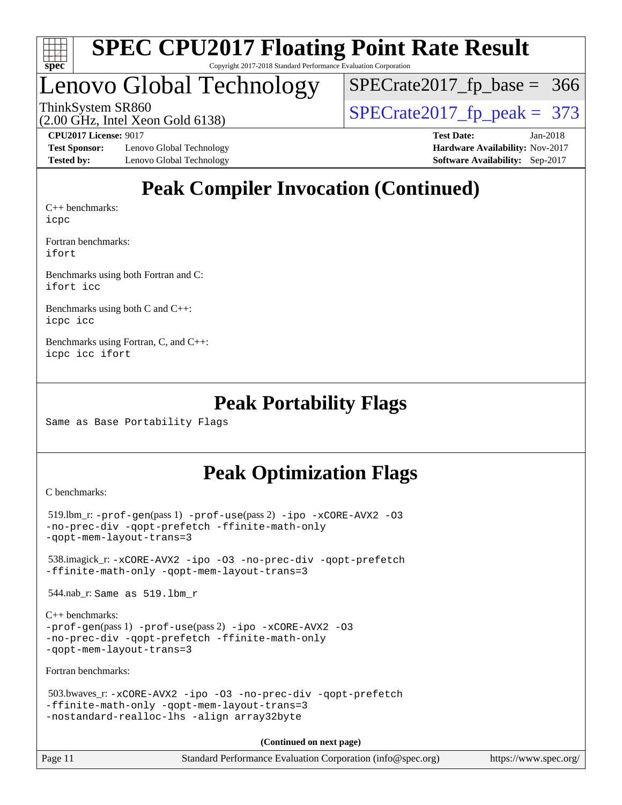

## Lenovo Global Technology

ThinkSystem SR860<br>  $(2.00 \text{ GHz})$  Intel Xeon Gold 6138) [SPECrate2017\\_fp\\_base =](http://www.spec.org/auto/cpu2017/Docs/result-fields.html#SPECrate2017fpbase) 366

(2.00 GHz, Intel Xeon Gold 6138)

**[Test Sponsor:](http://www.spec.org/auto/cpu2017/Docs/result-fields.html#TestSponsor)** Lenovo Global Technology **[Hardware Availability:](http://www.spec.org/auto/cpu2017/Docs/result-fields.html#HardwareAvailability)** Nov-2017 **[Tested by:](http://www.spec.org/auto/cpu2017/Docs/result-fields.html#Testedby)** Lenovo Global Technology **[Software Availability:](http://www.spec.org/auto/cpu2017/Docs/result-fields.html#SoftwareAvailability)** Sep-2017

**[CPU2017 License:](http://www.spec.org/auto/cpu2017/Docs/result-fields.html#CPU2017License)** 9017 **[Test Date:](http://www.spec.org/auto/cpu2017/Docs/result-fields.html#TestDate)** Jan-2018

## **[Peak Compiler Invocation \(Continued\)](http://www.spec.org/auto/cpu2017/Docs/result-fields.html#PeakCompilerInvocation)**

[C++ benchmarks:](http://www.spec.org/auto/cpu2017/Docs/result-fields.html#CXXbenchmarks) [icpc](http://www.spec.org/cpu2017/results/res2018q1/cpu2017-20180108-02559.flags.html#user_CXXpeak_intel_icpc_18.0_c510b6838c7f56d33e37e94d029a35b4a7bccf4766a728ee175e80a419847e808290a9b78be685c44ab727ea267ec2f070ec5dc83b407c0218cded6866a35d07)

[Fortran benchmarks](http://www.spec.org/auto/cpu2017/Docs/result-fields.html#Fortranbenchmarks): [ifort](http://www.spec.org/cpu2017/results/res2018q1/cpu2017-20180108-02559.flags.html#user_FCpeak_intel_ifort_18.0_8111460550e3ca792625aed983ce982f94888b8b503583aa7ba2b8303487b4d8a21a13e7191a45c5fd58ff318f48f9492884d4413fa793fd88dd292cad7027ca)

[Benchmarks using both Fortran and C](http://www.spec.org/auto/cpu2017/Docs/result-fields.html#BenchmarksusingbothFortranandC): [ifort](http://www.spec.org/cpu2017/results/res2018q1/cpu2017-20180108-02559.flags.html#user_CC_FCpeak_intel_ifort_18.0_8111460550e3ca792625aed983ce982f94888b8b503583aa7ba2b8303487b4d8a21a13e7191a45c5fd58ff318f48f9492884d4413fa793fd88dd292cad7027ca) [icc](http://www.spec.org/cpu2017/results/res2018q1/cpu2017-20180108-02559.flags.html#user_CC_FCpeak_intel_icc_18.0_66fc1ee009f7361af1fbd72ca7dcefbb700085f36577c54f309893dd4ec40d12360134090235512931783d35fd58c0460139e722d5067c5574d8eaf2b3e37e92)

[Benchmarks using both C and C++](http://www.spec.org/auto/cpu2017/Docs/result-fields.html#BenchmarksusingbothCandCXX): [icpc](http://www.spec.org/cpu2017/results/res2018q1/cpu2017-20180108-02559.flags.html#user_CC_CXXpeak_intel_icpc_18.0_c510b6838c7f56d33e37e94d029a35b4a7bccf4766a728ee175e80a419847e808290a9b78be685c44ab727ea267ec2f070ec5dc83b407c0218cded6866a35d07) [icc](http://www.spec.org/cpu2017/results/res2018q1/cpu2017-20180108-02559.flags.html#user_CC_CXXpeak_intel_icc_18.0_66fc1ee009f7361af1fbd72ca7dcefbb700085f36577c54f309893dd4ec40d12360134090235512931783d35fd58c0460139e722d5067c5574d8eaf2b3e37e92)

[Benchmarks using Fortran, C, and C++:](http://www.spec.org/auto/cpu2017/Docs/result-fields.html#BenchmarksusingFortranCandCXX) [icpc](http://www.spec.org/cpu2017/results/res2018q1/cpu2017-20180108-02559.flags.html#user_CC_CXX_FCpeak_intel_icpc_18.0_c510b6838c7f56d33e37e94d029a35b4a7bccf4766a728ee175e80a419847e808290a9b78be685c44ab727ea267ec2f070ec5dc83b407c0218cded6866a35d07) [icc](http://www.spec.org/cpu2017/results/res2018q1/cpu2017-20180108-02559.flags.html#user_CC_CXX_FCpeak_intel_icc_18.0_66fc1ee009f7361af1fbd72ca7dcefbb700085f36577c54f309893dd4ec40d12360134090235512931783d35fd58c0460139e722d5067c5574d8eaf2b3e37e92) [ifort](http://www.spec.org/cpu2017/results/res2018q1/cpu2017-20180108-02559.flags.html#user_CC_CXX_FCpeak_intel_ifort_18.0_8111460550e3ca792625aed983ce982f94888b8b503583aa7ba2b8303487b4d8a21a13e7191a45c5fd58ff318f48f9492884d4413fa793fd88dd292cad7027ca)

### **[Peak Portability Flags](http://www.spec.org/auto/cpu2017/Docs/result-fields.html#PeakPortabilityFlags)**

Same as Base Portability Flags

## **[Peak Optimization Flags](http://www.spec.org/auto/cpu2017/Docs/result-fields.html#PeakOptimizationFlags)**

[C benchmarks](http://www.spec.org/auto/cpu2017/Docs/result-fields.html#Cbenchmarks):

```
519.lbm_r: -ipo -\text{xCORE-AVX2} -03-no-prec-div -qopt-prefetch -ffinite-math-only
-qopt-mem-layout-trans=3
 538.imagick_r: -xCORE-AVX2 -ipo -O3 -no-prec-div -qopt-prefetch
-ffinite-math-only -qopt-mem-layout-trans=3
 544.nab_r: Same as 519.lbm_r
C++ benchmarks: 
-prof-gen(pass 1) -prof-use(pass 2) -ipo -xCORE-AVX2 -O3
-no-prec-div -qopt-prefetch -ffinite-math-only
-qopt-mem-layout-trans=3
Fortran benchmarks: 
 503.bwaves_r: -xCORE-AVX2 -ipo -O3 -no-prec-div -qopt-prefetch
-ffinite-math-only -qopt-mem-layout-trans=3
-nostandard-realloc-lhs -align array32byte
                                    (Continued on next page)
```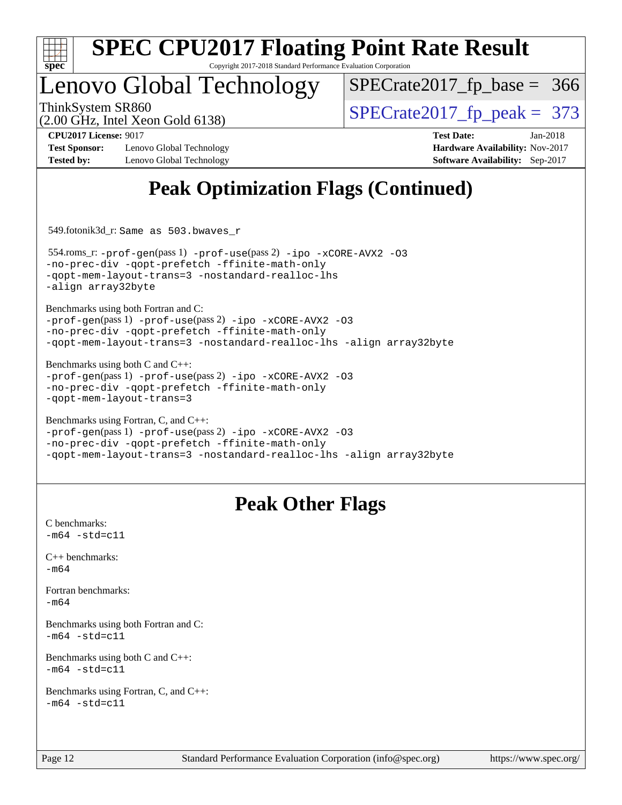

## Lenovo Global Technology

ThinkSystem SR860<br>  $(2.00 \text{ GHz})$  Intel Xeon Gold 6138) [SPECrate2017\\_fp\\_base =](http://www.spec.org/auto/cpu2017/Docs/result-fields.html#SPECrate2017fpbase) 366

(2.00 GHz, Intel Xeon Gold 6138)

**[CPU2017 License:](http://www.spec.org/auto/cpu2017/Docs/result-fields.html#CPU2017License)** 9017 **[Test Date:](http://www.spec.org/auto/cpu2017/Docs/result-fields.html#TestDate)** Jan-2018

**[Tested by:](http://www.spec.org/auto/cpu2017/Docs/result-fields.html#Testedby)** Lenovo Global Technology **[Software Availability:](http://www.spec.org/auto/cpu2017/Docs/result-fields.html#SoftwareAvailability)** Sep-2017

**[Test Sponsor:](http://www.spec.org/auto/cpu2017/Docs/result-fields.html#TestSponsor)** Lenovo Global Technology **[Hardware Availability:](http://www.spec.org/auto/cpu2017/Docs/result-fields.html#HardwareAvailability)** Nov-2017

## **[Peak Optimization Flags \(Continued\)](http://www.spec.org/auto/cpu2017/Docs/result-fields.html#PeakOptimizationFlags)**

549.fotonik3d\_r: Same as 503.bwaves\_r

 554.roms\_r: [-prof-gen](http://www.spec.org/cpu2017/results/res2018q1/cpu2017-20180108-02559.flags.html#user_peakPASS1_FFLAGSPASS1_LDFLAGS554_roms_r_prof_gen_5aa4926d6013ddb2a31985c654b3eb18169fc0c6952a63635c234f711e6e63dd76e94ad52365559451ec499a2cdb89e4dc58ba4c67ef54ca681ffbe1461d6b36)(pass 1) [-prof-use](http://www.spec.org/cpu2017/results/res2018q1/cpu2017-20180108-02559.flags.html#user_peakPASS2_FFLAGSPASS2_LDFLAGS554_roms_r_prof_use_1a21ceae95f36a2b53c25747139a6c16ca95bd9def2a207b4f0849963b97e94f5260e30a0c64f4bb623698870e679ca08317ef8150905d41bd88c6f78df73f19)(pass 2) [-ipo](http://www.spec.org/cpu2017/results/res2018q1/cpu2017-20180108-02559.flags.html#user_peakPASS1_FOPTIMIZEPASS2_FOPTIMIZE554_roms_r_f-ipo) [-xCORE-AVX2](http://www.spec.org/cpu2017/results/res2018q1/cpu2017-20180108-02559.flags.html#user_peakPASS2_FOPTIMIZE554_roms_r_f-xCORE-AVX2) [-O3](http://www.spec.org/cpu2017/results/res2018q1/cpu2017-20180108-02559.flags.html#user_peakPASS1_FOPTIMIZEPASS2_FOPTIMIZE554_roms_r_f-O3) [-no-prec-div](http://www.spec.org/cpu2017/results/res2018q1/cpu2017-20180108-02559.flags.html#user_peakPASS1_FOPTIMIZEPASS2_FOPTIMIZE554_roms_r_f-no-prec-div) [-qopt-prefetch](http://www.spec.org/cpu2017/results/res2018q1/cpu2017-20180108-02559.flags.html#user_peakPASS1_FOPTIMIZEPASS2_FOPTIMIZE554_roms_r_f-qopt-prefetch) [-ffinite-math-only](http://www.spec.org/cpu2017/results/res2018q1/cpu2017-20180108-02559.flags.html#user_peakPASS1_FOPTIMIZEPASS2_FOPTIMIZE554_roms_r_f_finite_math_only_cb91587bd2077682c4b38af759c288ed7c732db004271a9512da14a4f8007909a5f1427ecbf1a0fb78ff2a814402c6114ac565ca162485bbcae155b5e4258871) [-qopt-mem-layout-trans=3](http://www.spec.org/cpu2017/results/res2018q1/cpu2017-20180108-02559.flags.html#user_peakPASS1_FOPTIMIZEPASS2_FOPTIMIZE554_roms_r_f-qopt-mem-layout-trans_de80db37974c74b1f0e20d883f0b675c88c3b01e9d123adea9b28688d64333345fb62bc4a798493513fdb68f60282f9a726aa07f478b2f7113531aecce732043) [-nostandard-realloc-lhs](http://www.spec.org/cpu2017/results/res2018q1/cpu2017-20180108-02559.flags.html#user_peakEXTRA_FOPTIMIZE554_roms_r_f_2003_std_realloc_82b4557e90729c0f113870c07e44d33d6f5a304b4f63d4c15d2d0f1fab99f5daaed73bdb9275d9ae411527f28b936061aa8b9c8f2d63842963b95c9dd6426b8a) [-align array32byte](http://www.spec.org/cpu2017/results/res2018q1/cpu2017-20180108-02559.flags.html#user_peakEXTRA_FOPTIMIZE554_roms_r_align_array32byte_b982fe038af199962ba9a80c053b8342c548c85b40b8e86eb3cc33dee0d7986a4af373ac2d51c3f7cf710a18d62fdce2948f201cd044323541f22fc0fffc51b6)

[Benchmarks using both Fortran and C](http://www.spec.org/auto/cpu2017/Docs/result-fields.html#BenchmarksusingbothFortranandC):

[-prof-gen](http://www.spec.org/cpu2017/results/res2018q1/cpu2017-20180108-02559.flags.html#user_CC_FCpeak_prof_gen_5aa4926d6013ddb2a31985c654b3eb18169fc0c6952a63635c234f711e6e63dd76e94ad52365559451ec499a2cdb89e4dc58ba4c67ef54ca681ffbe1461d6b36)(pass 1) [-prof-use](http://www.spec.org/cpu2017/results/res2018q1/cpu2017-20180108-02559.flags.html#user_CC_FCpeak_prof_use_1a21ceae95f36a2b53c25747139a6c16ca95bd9def2a207b4f0849963b97e94f5260e30a0c64f4bb623698870e679ca08317ef8150905d41bd88c6f78df73f19)(pass 2) [-ipo](http://www.spec.org/cpu2017/results/res2018q1/cpu2017-20180108-02559.flags.html#user_CC_FCpeak_f-ipo) [-xCORE-AVX2](http://www.spec.org/cpu2017/results/res2018q1/cpu2017-20180108-02559.flags.html#user_CC_FCpeak_f-xCORE-AVX2) [-O3](http://www.spec.org/cpu2017/results/res2018q1/cpu2017-20180108-02559.flags.html#user_CC_FCpeak_f-O3) [-no-prec-div](http://www.spec.org/cpu2017/results/res2018q1/cpu2017-20180108-02559.flags.html#user_CC_FCpeak_f-no-prec-div) [-qopt-prefetch](http://www.spec.org/cpu2017/results/res2018q1/cpu2017-20180108-02559.flags.html#user_CC_FCpeak_f-qopt-prefetch) [-ffinite-math-only](http://www.spec.org/cpu2017/results/res2018q1/cpu2017-20180108-02559.flags.html#user_CC_FCpeak_f_finite_math_only_cb91587bd2077682c4b38af759c288ed7c732db004271a9512da14a4f8007909a5f1427ecbf1a0fb78ff2a814402c6114ac565ca162485bbcae155b5e4258871) [-qopt-mem-layout-trans=3](http://www.spec.org/cpu2017/results/res2018q1/cpu2017-20180108-02559.flags.html#user_CC_FCpeak_f-qopt-mem-layout-trans_de80db37974c74b1f0e20d883f0b675c88c3b01e9d123adea9b28688d64333345fb62bc4a798493513fdb68f60282f9a726aa07f478b2f7113531aecce732043) [-nostandard-realloc-lhs](http://www.spec.org/cpu2017/results/res2018q1/cpu2017-20180108-02559.flags.html#user_CC_FCpeak_f_2003_std_realloc_82b4557e90729c0f113870c07e44d33d6f5a304b4f63d4c15d2d0f1fab99f5daaed73bdb9275d9ae411527f28b936061aa8b9c8f2d63842963b95c9dd6426b8a) [-align array32byte](http://www.spec.org/cpu2017/results/res2018q1/cpu2017-20180108-02559.flags.html#user_CC_FCpeak_align_array32byte_b982fe038af199962ba9a80c053b8342c548c85b40b8e86eb3cc33dee0d7986a4af373ac2d51c3f7cf710a18d62fdce2948f201cd044323541f22fc0fffc51b6)

[Benchmarks using both C and C++](http://www.spec.org/auto/cpu2017/Docs/result-fields.html#BenchmarksusingbothCandCXX): [-prof-gen](http://www.spec.org/cpu2017/results/res2018q1/cpu2017-20180108-02559.flags.html#user_CC_CXXpeak_prof_gen_5aa4926d6013ddb2a31985c654b3eb18169fc0c6952a63635c234f711e6e63dd76e94ad52365559451ec499a2cdb89e4dc58ba4c67ef54ca681ffbe1461d6b36)(pass 1) [-prof-use](http://www.spec.org/cpu2017/results/res2018q1/cpu2017-20180108-02559.flags.html#user_CC_CXXpeak_prof_use_1a21ceae95f36a2b53c25747139a6c16ca95bd9def2a207b4f0849963b97e94f5260e30a0c64f4bb623698870e679ca08317ef8150905d41bd88c6f78df73f19)(pass 2) [-ipo](http://www.spec.org/cpu2017/results/res2018q1/cpu2017-20180108-02559.flags.html#user_CC_CXXpeak_f-ipo) [-xCORE-AVX2](http://www.spec.org/cpu2017/results/res2018q1/cpu2017-20180108-02559.flags.html#user_CC_CXXpeak_f-xCORE-AVX2) [-O3](http://www.spec.org/cpu2017/results/res2018q1/cpu2017-20180108-02559.flags.html#user_CC_CXXpeak_f-O3) [-no-prec-div](http://www.spec.org/cpu2017/results/res2018q1/cpu2017-20180108-02559.flags.html#user_CC_CXXpeak_f-no-prec-div) [-qopt-prefetch](http://www.spec.org/cpu2017/results/res2018q1/cpu2017-20180108-02559.flags.html#user_CC_CXXpeak_f-qopt-prefetch) [-ffinite-math-only](http://www.spec.org/cpu2017/results/res2018q1/cpu2017-20180108-02559.flags.html#user_CC_CXXpeak_f_finite_math_only_cb91587bd2077682c4b38af759c288ed7c732db004271a9512da14a4f8007909a5f1427ecbf1a0fb78ff2a814402c6114ac565ca162485bbcae155b5e4258871) [-qopt-mem-layout-trans=3](http://www.spec.org/cpu2017/results/res2018q1/cpu2017-20180108-02559.flags.html#user_CC_CXXpeak_f-qopt-mem-layout-trans_de80db37974c74b1f0e20d883f0b675c88c3b01e9d123adea9b28688d64333345fb62bc4a798493513fdb68f60282f9a726aa07f478b2f7113531aecce732043)

```
Benchmarks using Fortran, C, and C++: 
-prof-gen(pass 1) -prof-use(pass 2) -ipo -xCORE-AVX2 -O3
-no-prec-div -qopt-prefetch -ffinite-math-only
-qopt-mem-layout-trans=3 -nostandard-realloc-lhs -align array32byte
```
## **[Peak Other Flags](http://www.spec.org/auto/cpu2017/Docs/result-fields.html#PeakOtherFlags)**

[C benchmarks](http://www.spec.org/auto/cpu2017/Docs/result-fields.html#Cbenchmarks):  $-m64 - std = c11$  $-m64 - std = c11$ [C++ benchmarks:](http://www.spec.org/auto/cpu2017/Docs/result-fields.html#CXXbenchmarks) [-m64](http://www.spec.org/cpu2017/results/res2018q1/cpu2017-20180108-02559.flags.html#user_CXXpeak_intel_intel64_18.0_af43caccfc8ded86e7699f2159af6efc7655f51387b94da716254467f3c01020a5059329e2569e4053f409e7c9202a7efc638f7a6d1ffb3f52dea4a3e31d82ab) [Fortran benchmarks](http://www.spec.org/auto/cpu2017/Docs/result-fields.html#Fortranbenchmarks): [-m64](http://www.spec.org/cpu2017/results/res2018q1/cpu2017-20180108-02559.flags.html#user_FCpeak_intel_intel64_18.0_af43caccfc8ded86e7699f2159af6efc7655f51387b94da716254467f3c01020a5059329e2569e4053f409e7c9202a7efc638f7a6d1ffb3f52dea4a3e31d82ab) [Benchmarks using both Fortran and C](http://www.spec.org/auto/cpu2017/Docs/result-fields.html#BenchmarksusingbothFortranandC):  $-m64$   $-std=cl1$ [Benchmarks using both C and C++](http://www.spec.org/auto/cpu2017/Docs/result-fields.html#BenchmarksusingbothCandCXX):  $-m64 - std= c11$  $-m64 - std= c11$ [Benchmarks using Fortran, C, and C++:](http://www.spec.org/auto/cpu2017/Docs/result-fields.html#BenchmarksusingFortranCandCXX)  $-m64 - std = c11$  $-m64 - std = c11$